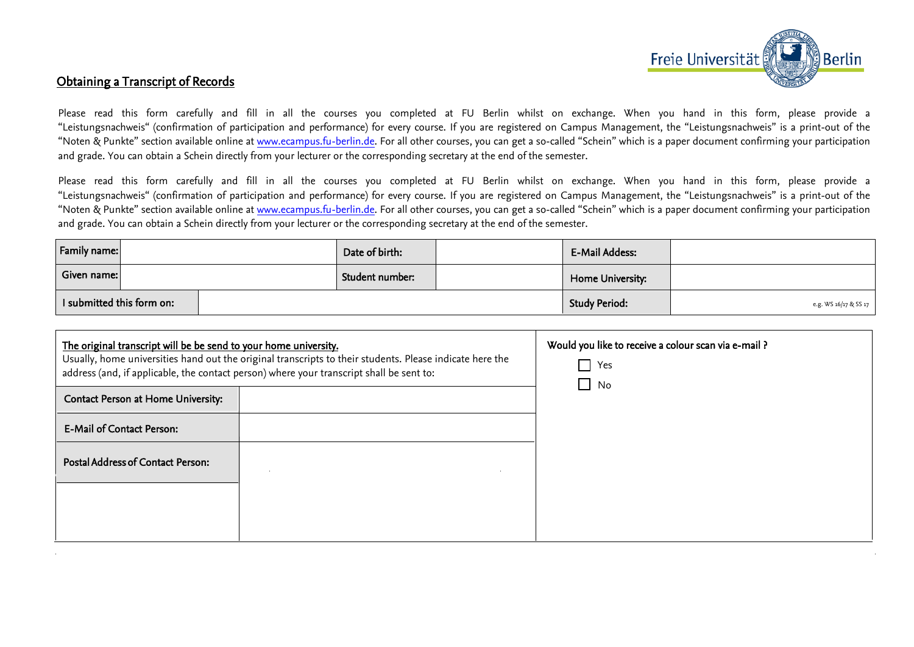

## Obtaining a Transcript of Records

Please read this form carefully and fill in all the courses you completed at FU Berlin whilst on exchange. When you hand in this form, please provide a "Leistungsnachweis" (confirmation of participation and performance) for every course. If you are registered on Campus Management, the "Leistungsnachweis" is a print-out of the "Noten & Punkte" section available online at www.ecampus.fu-berlin.de. For all other courses, you can get a so-called "Schein" which is a paper document confirming your participation and grade. You can obtain a Schein directly from your lecturer or the corresponding secretary at the end of the semester.

Please read this form carefully and fill in all the courses you completed at FU Berlin whilst on exchange. When you hand in this form, please provide a "Leistungsnachweis" (confirmation of participation and performance) for every course. If you are registered on Campus Management, the "Leistungsnachweis" is a print-out of the "Noten & Punkte" section available online at www.ecampus.fu-berlin.de. For all other courses, you can get a so-called "Schein" which is a paper document confirming your participation and grade. You can obtain a Schein directly from your lecturer or the corresponding secretary at the end of the semester.

| <b>Family name:</b>       | Date of birth:  | <b>E-Mail Addess:</b> |                       |
|---------------------------|-----------------|-----------------------|-----------------------|
| Given name:               | Student number: | Home University:      |                       |
| I submitted this form on: |                 | <b>Study Period:</b>  | e.g. WS 16/17 & SS 17 |

| The original transcript will be be send to your home university.<br>Usually, home universities hand out the original transcripts to their students. Please indicate here the<br>address (and, if applicable, the contact person) where your transcript shall be sent to: |  | Would you like to receive a colour scan via e-mail ?<br>Yes<br>$\blacksquare$<br>$\Box$<br>No |
|--------------------------------------------------------------------------------------------------------------------------------------------------------------------------------------------------------------------------------------------------------------------------|--|-----------------------------------------------------------------------------------------------|
| Contact Person at Home University:                                                                                                                                                                                                                                       |  |                                                                                               |
| <b>E-Mail of Contact Person:</b>                                                                                                                                                                                                                                         |  |                                                                                               |
| Postal Address of Contact Person:                                                                                                                                                                                                                                        |  |                                                                                               |
|                                                                                                                                                                                                                                                                          |  |                                                                                               |
|                                                                                                                                                                                                                                                                          |  |                                                                                               |